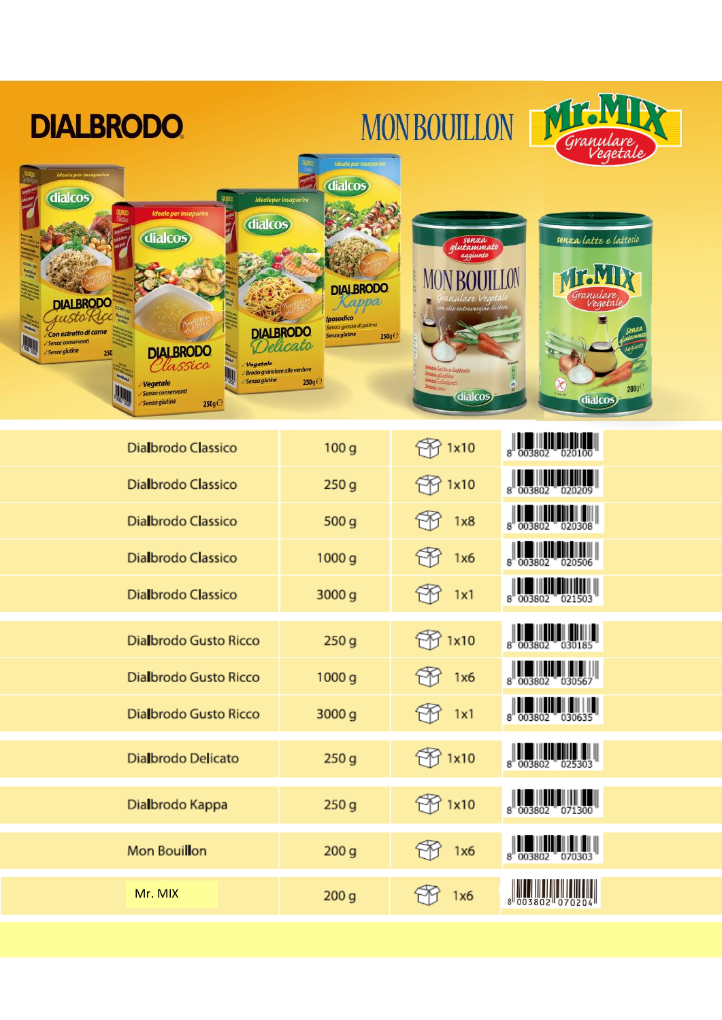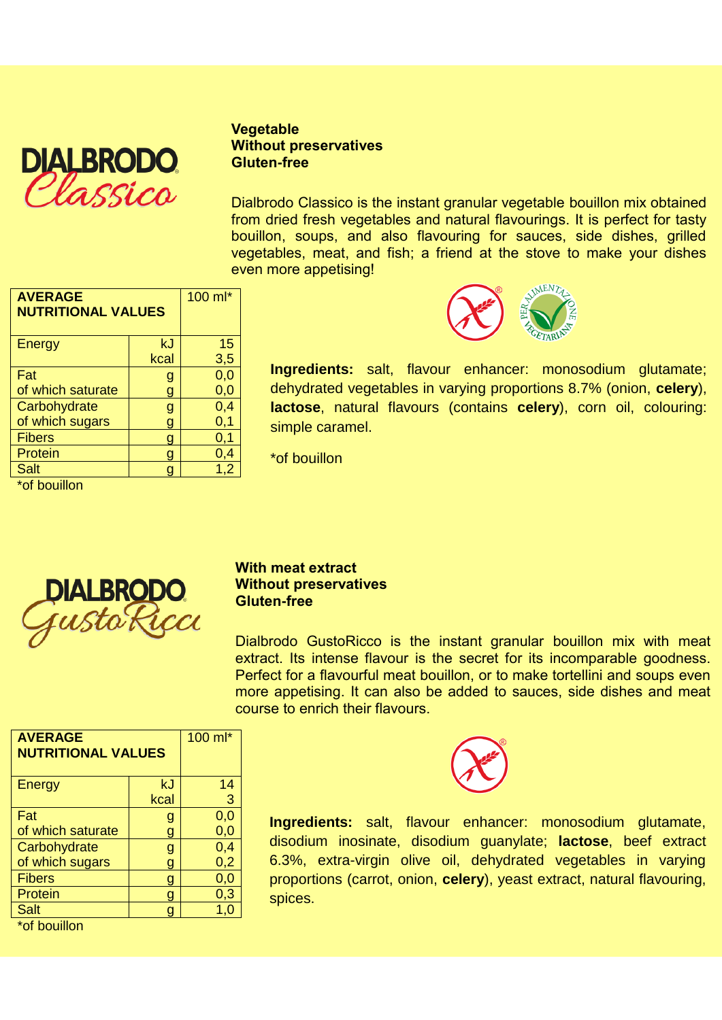

**Vegetable Without preservatives Gluten-free**

Dialbrodo Classico is the instant granular vegetable bouillon mix obtained from dried fresh vegetables and natural flavourings. It is perfect for tasty bouillon, soups, and also flavouring for sauces, side dishes, grilled vegetables, meat, and fish; a friend at the stove to make your dishes even more appetising!

| <b>AVERAGE</b><br><b>NUTRITIONAL VALUES</b> |      | 100 ml* |
|---------------------------------------------|------|---------|
| <b>Energy</b>                               | kJ   | 15      |
|                                             | kcal | 3,5     |
| Fat                                         | g    | 0,0     |
| of which saturate                           | O    | 0,0     |
| Carbohydrate                                | g    | 0,4     |
| of which sugars                             |      | 0,1     |
| <b>Fibers</b>                               |      | 0,1     |
| Protein                                     |      | 0,4     |
| Salt                                        |      | 1,2     |
| *of bouillon                                |      |         |

**Ingredients:** salt, flavour enhancer: monosodium glutamate; dehydrated vegetables in varying proportions 8.7% (onion, **celery**), **lactose**, natural flavours (contains **celery**), corn oil, colouring: simple caramel.

\*of bouillon



### **With meat extract Without preservatives Gluten-free**

Dialbrodo GustoRicco is the instant granular bouillon mix with meat extract. Its intense flavour is the secret for its incomparable goodness. Perfect for a flavourful meat bouillon, or to make tortellini and soups even more appetising. It can also be added to sauces, side dishes and meat course to enrich their flavours.

| <b>AVERAGE</b><br><b>NUTRITIONAL VALUES</b> |      | 100 ml* |
|---------------------------------------------|------|---------|
| Energy                                      | kJ   | 14      |
|                                             | kcal | 3       |
| Fat                                         | g    | 0,0     |
| of which saturate                           |      | 0,0     |
| Carbohydrate                                | g    | 0,4     |
| of which sugars                             |      | 0,2     |
| <b>Fibers</b>                               |      | 0,0     |
| Protein                                     |      | 0,3     |
| <b>Salt</b>                                 |      | 1,0     |
| $*$ of houillon                             |      |         |

or bouillon



**Ingredients:** salt, flavour enhancer: monosodium glutamate, disodium inosinate, disodium guanylate; **lactose**, beef extract 6.3%, extra-virgin olive oil, dehydrated vegetables in varying proportions (carrot, onion, **celery**), yeast extract, natural flavouring, spices.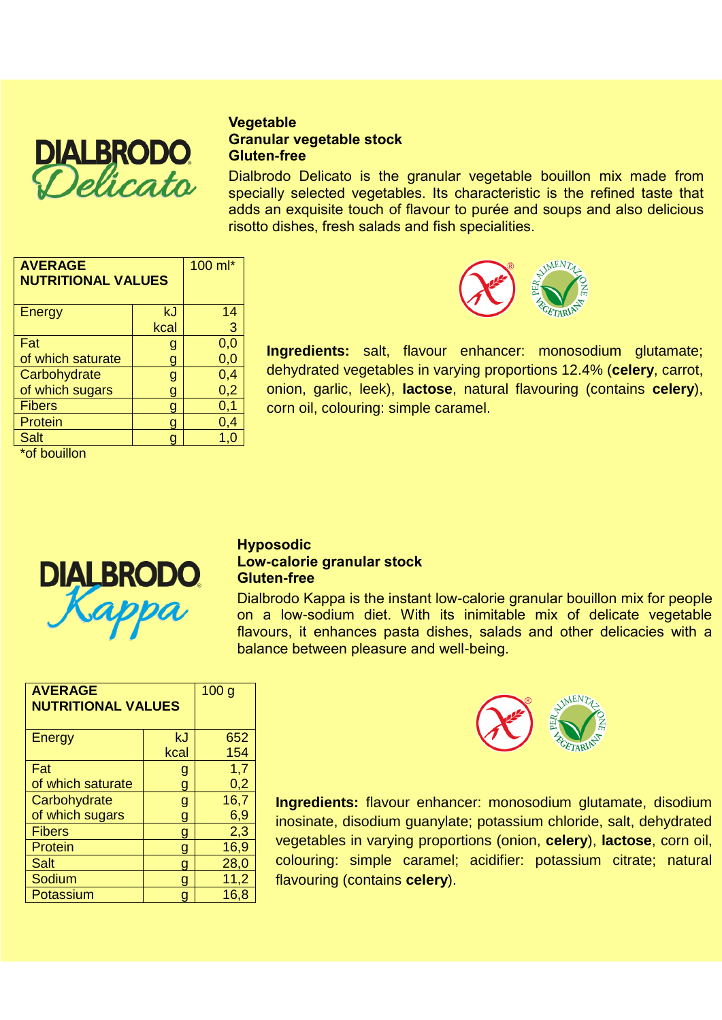

# **Vegetable Granular vegetable stock Gluten-free**

Dialbrodo Delicato is the granular vegetable bouillon mix made from specially selected vegetables. Its characteristic is the refined taste that adds an exquisite touch of flavour to purée and soups and also delicious risotto dishes, fresh salads and fish specialities.

| <b>AVERAGE</b><br><b>NUTRITIONAL VALUES</b> |      | 100 ml* |
|---------------------------------------------|------|---------|
| Energy                                      | kJ   | 14      |
|                                             | kcal | 3       |
| Fat                                         | g    | 0,0     |
| of which saturate                           | g    | 0,0     |
| Carbohydrate                                | g    | 0,4     |
| of which sugars                             | g    | 0,2     |
| <b>Fibers</b>                               |      | 0,1     |
| Protein                                     |      | 0,4     |
| <b>Salt</b>                                 |      | 1,0     |
|                                             |      |         |

\*of bouillon



**Ingredients:** salt, flavour enhancer: monosodium glutamate; dehydrated vegetables in varying proportions 12.4% (**celery**, carrot, onion, garlic, leek), **lactose**, natural flavouring (contains **celery**), corn oil, colouring: simple caramel.



## **Hyposodic Low-calorie granular stock Gluten-free**

Dialbrodo Kappa is the instant low-calorie granular bouillon mix for people on a low-sodium diet. With its inimitable mix of delicate vegetable flavours, it enhances pasta dishes, salads and other delicacies with a balance between pleasure and well-being.

| <b>AVERAGE</b><br><b>NUTRITIONAL VALUES</b> |      | 100 <sub>g</sub> |
|---------------------------------------------|------|------------------|
| Energy                                      | kJ   | 652              |
|                                             | kcal | 154              |
| Fat                                         | g    | 1,7              |
| of which saturate                           | g    | 0,2              |
| Carbohydrate                                | g    | 16,7             |
| of which sugars                             | g    | 6,9              |
| <b>Fibers</b>                               | g    | 2,3              |
| Protein                                     | g    | 16,9             |
| <b>Salt</b>                                 | q    | 28,0             |
| Sodium                                      | q    | 11,2             |
| Potassium                                   | g    | 16,8             |



**Ingredients:** flavour enhancer: monosodium glutamate, disodium inosinate, disodium guanylate; potassium chloride, salt, dehydrated vegetables in varying proportions (onion, **celery**), **lactose**, corn oil, colouring: simple caramel; acidifier: potassium citrate; natural flavouring (contains **celery**).